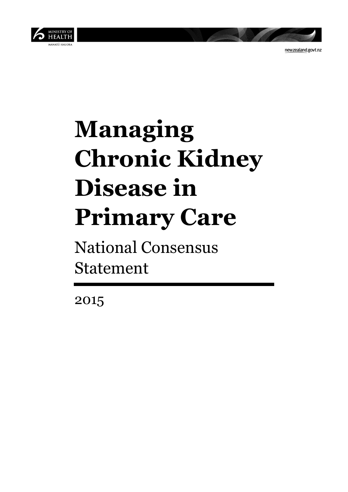

newzealand.govt.nz

# **Managing Chronic Kidney Disease in Primary Care**

National Consensus Statement

2015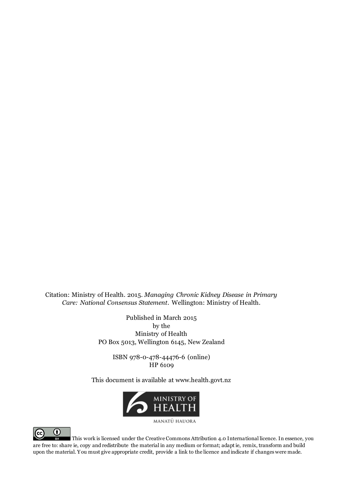Citation: Ministry of Health. 2015. *Managing Chronic Kidney Disease in Primary Care: National Consensus Statement*. Wellington: Ministry of Health.

> Published in March 2015 by the Ministry of Health PO Box 5013, Wellington 6145, New Zealand

> > ISBN 978-0-478-44476-6 (online) HP 6109

This document is available at www.health.govt.nz



MANATU HAUORA



This work is licensed under the Creative Commons Attribution 4.0 International licence. In essence, you are free to: share ie, copy and redistribute the material in any medium or format; adapt ie, remix, transform and build upon the material. You must give appropriate credit, provide a link to the licence and indicate if changes were made.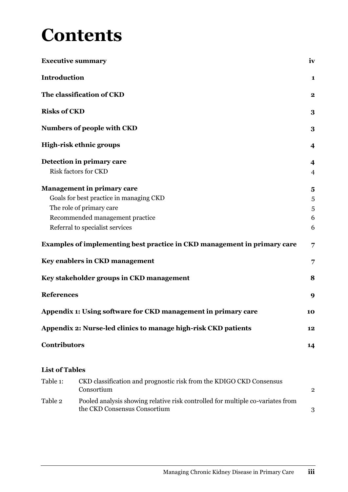### **Contents**

|                       | <b>Executive summary</b>                                                          | iv                      |
|-----------------------|-----------------------------------------------------------------------------------|-------------------------|
| <b>Introduction</b>   |                                                                                   | 1                       |
|                       | The classification of CKD                                                         | $\mathbf{2}$            |
| <b>Risks of CKD</b>   |                                                                                   | 3                       |
|                       | <b>Numbers of people with CKD</b>                                                 | 3                       |
|                       | High-risk ethnic groups                                                           | $\overline{\mathbf{4}}$ |
|                       | Detection in primary care                                                         | $\boldsymbol{4}$        |
|                       | <b>Risk factors for CKD</b>                                                       | $\overline{4}$          |
|                       | <b>Management in primary care</b>                                                 | 5                       |
|                       | Goals for best practice in managing CKD                                           | 5                       |
|                       | The role of primary care                                                          | 5                       |
|                       | Recommended management practice                                                   | 6                       |
|                       | Referral to specialist services                                                   | 6                       |
|                       | Examples of implementing best practice in CKD management in primary care          | 7                       |
|                       | Key enablers in CKD management                                                    | 7                       |
|                       | Key stakeholder groups in CKD management                                          | 8                       |
| <b>References</b>     |                                                                                   | 9                       |
|                       | Appendix 1: Using software for CKD management in primary care                     | 10                      |
|                       | Appendix 2: Nurse-led clinics to manage high-risk CKD patients                    | 12                      |
| <b>Contributors</b>   |                                                                                   | 14                      |
| <b>List of Tables</b> |                                                                                   |                         |
| Table 1:              | CKD classification and prognostic risk from the KDIGO CKD Consensus<br>Consortium | 2                       |

| Table 2 | Pooled analysis showing relative risk controlled for multiple co-variates from |  |
|---------|--------------------------------------------------------------------------------|--|
|         | the CKD Consensus Consortium                                                   |  |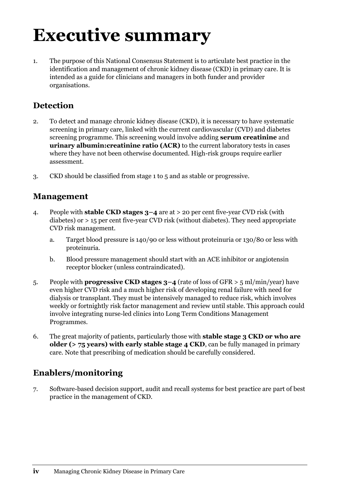### **Executive summary**

1. The purpose of this National Consensus Statement is to articulate best practice in the identification and management of chronic kidney disease (CKD) in primary care. It is intended as a guide for clinicians and managers in both funder and provider organisations.

#### **Detection**

- 2. To detect and manage chronic kidney disease (CKD), it is necessary to have systematic screening in primary care, linked with the current cardiovascular (CVD) and diabetes screening programme. This screening would involve adding **serum creatinine** and **urinary albumin:creatinine ratio (ACR)** to the current laboratory tests in cases where they have not been otherwise documented. High-risk groups require earlier assessment.
- 3. CKD should be classified from stage 1 to 5 and as stable or progressive*.*

#### **Management**

- 4. People with **stable CKD stages 3–4** are at > 20 per cent five-year CVD risk (with diabetes) or > 15 per cent five-year CVD risk (without diabetes). They need appropriate CVD risk management.
	- a. Target blood pressure is 140/90 or less without proteinuria or 130/80 or less with proteinuria.
	- b. Blood pressure management should start with an ACE inhibitor or angiotensin receptor blocker (unless contraindicated).
- 5. People with **progressive CKD stages 3–4** (rate of loss of GFR > 5 ml/min/year) have even higher CVD risk and a much higher risk of developing renal failure with need for dialysis or transplant. They must be intensively managed to reduce risk, which involves weekly or fortnightly risk factor management and review until stable. This approach could involve integrating nurse-led clinics into Long Term Conditions Management Programmes.
- 6. The great majority of patients, particularly those with **stable stage 3 CKD or who are older (> 75 years) with early stable stage 4 CKD**, can be fully managed in primary care. Note that prescribing of medication should be carefully considered.

### **Enablers/monitoring**

7. Software-based decision support, audit and recall systems for best practice are part of best practice in the management of CKD.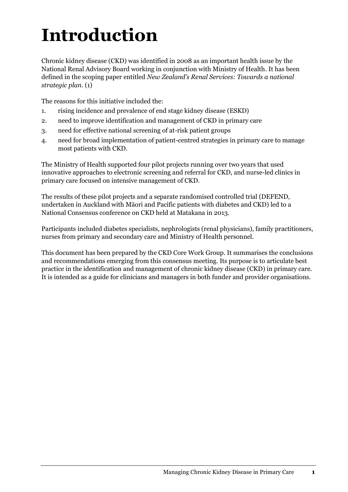# **Introduction**

Chronic kidney disease (CKD) was identified in 2008 as an important health issue by the National Renal Advisory Board working in conjunction with Ministry of Health. It has been defined in the scoping paper entitled *New Zealand's Renal Services: Towards a national strategic plan*. (1)

The reasons for this initiative included the:

- 1. rising incidence and prevalence of end stage kidney disease (ESKD)
- 2. need to improve identification and management of CKD in primary care
- 3. need for effective national screening of at-risk patient groups
- 4. need for broad implementation of patient-centred strategies in primary care to manage most patients with CKD.

The Ministry of Health supported four pilot projects running over two years that used innovative approaches to electronic screening and referral for CKD, and nurse-led clinics in primary care focused on intensive management of CKD.

The results of these pilot projects and a separate randomised controlled trial (DEFEND, undertaken in Auckland with Māori and Pacific patients with diabetes and CKD) led to a National Consensus conference on CKD held at Matakana in 2013.

Participants included diabetes specialists, nephrologists (renal physicians), family practitioners, nurses from primary and secondary care and Ministry of Health personnel.

This document has been prepared by the CKD Core Work Group. It summarises the conclusions and recommendations emerging from this consensus meeting. Its purpose is to articulate best practice in the identification and management of chronic kidney disease (CKD) in primary care. It is intended as a guide for clinicians and managers in both funder and provider organisations.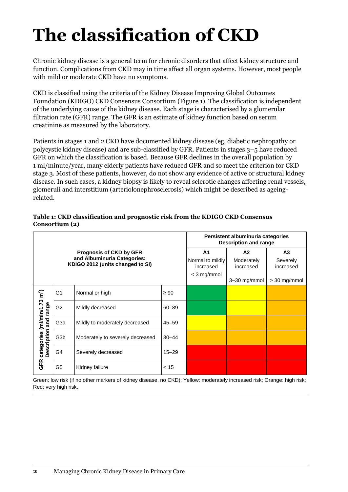# **The classification of CKD**

Chronic kidney disease is a general term for chronic disorders that affect kidney structure and function. Complications from CKD may in time affect all organ systems. However, most people with mild or moderate CKD have no symptoms.

CKD is classified using the criteria of the Kidney Disease Improving Global Outcomes Foundation (KDIGO) CKD Consensus Consortium (Figure 1). The classification is independent of the underlying cause of the kidney disease. Each stage is characterised by a glomerular filtration rate (GFR) range. The GFR is an estimate of kidney function based on serum creatinine as measured by the laboratory.

Patients in stages 1 and 2 CKD have documented kidney disease (eg, diabetic nephropathy or polycystic kidney disease) and are sub-classified by GFR. Patients in stages 3–5 have reduced GFR on which the classification is based. Because GFR declines in the overall population by 1 ml/minute/year, many elderly patients have reduced GFR and so meet the criterion for CKD stage 3. Most of these patients, however, do not show any evidence of active or structural kidney disease. In such cases, a kidney biopsy is likely to reveal sclerotic changes affecting renal vessels, glomeruli and interstitium (arteriolonephrosclerosis) which might be described as ageingrelated.

| Table 1: CKD classification and prognostic risk from the KDIGO CKD Consensus |
|------------------------------------------------------------------------------|
| Consortium (2)                                                               |

|                                                                   |                  |                                                                                                   |                                                                  | Persistent albuminuria categories<br>Description and range |                                               |  |  |
|-------------------------------------------------------------------|------------------|---------------------------------------------------------------------------------------------------|------------------------------------------------------------------|------------------------------------------------------------|-----------------------------------------------|--|--|
|                                                                   |                  | <b>Prognosis of CKD by GFR</b><br>and Albuminuria Categories:<br>KDIGO 2012 (units changed to SI) | A <sub>1</sub><br>Normal to mildly<br>increased<br>$<$ 3 mg/mmol | A2<br>Moderately<br>increased<br>$3-30$ mg/mmol            | A3<br>Severely<br>increased<br>$>$ 30 mg/mmol |  |  |
|                                                                   | G <sub>1</sub>   | Normal or high                                                                                    | $\geq 90$                                                        |                                                            |                                               |  |  |
|                                                                   | G <sub>2</sub>   | Mildly decreased                                                                                  | 60-89                                                            |                                                            |                                               |  |  |
| categories (ml/min/1.73 m <sup>2</sup> )<br>Description and range | G <sub>3</sub> a | Mildly to moderately decreased                                                                    | $45 - 59$                                                        |                                                            |                                               |  |  |
|                                                                   | G <sub>3</sub> b | Moderately to severely decreased                                                                  | $30 - 44$                                                        |                                                            |                                               |  |  |
|                                                                   | G4               | Severely decreased                                                                                | $15 - 29$                                                        |                                                            |                                               |  |  |
| GFR                                                               | G <sub>5</sub>   | Kidney failure                                                                                    | < 15                                                             |                                                            |                                               |  |  |

Green: low risk (if no other markers of kidney disease, no CKD); Yellow: moderately increased risk; Orange: high risk; Red: very high risk.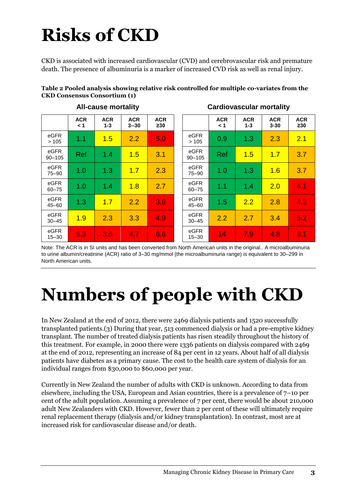# **Risks of CKD**

CKD is associated with increased cardiovascular (CVD) and cerebrovascular risk and premature death. The presence of albuminuria is a marker of increased CVD risk as well as renal injury.

| Table 2 Pooled analysis showing relative risk controlled for multiple co-variates from the |  |
|--------------------------------------------------------------------------------------------|--|
| <b>CKD Consensus Consortium (1)</b>                                                        |  |

| <b>All-cause mortality</b> |                   |                       |                        |                         |  | <b>Cardiovascular mortality</b> |                   |                       |                        |                         |
|----------------------------|-------------------|-----------------------|------------------------|-------------------------|--|---------------------------------|-------------------|-----------------------|------------------------|-------------------------|
|                            | <b>ACR</b><br>< 1 | <b>ACR</b><br>$1 - 3$ | <b>ACR</b><br>$3 - 30$ | <b>ACR</b><br>$\geq 30$ |  |                                 | <b>ACR</b><br>1 > | <b>ACR</b><br>$1 - 3$ | <b>ACR</b><br>$3 - 30$ | <b>ACR</b><br>$\geq 30$ |
| eGFR<br>>105               | 1.1               | 1.5                   | 2.2                    | 5.0                     |  | eGFR<br>>105                    | 0.9               | 1.3                   | 2.3                    | 2.1                     |
| eGFR<br>$90 - 105$         | Ref               | 1.4                   | 1.5                    | 3.1                     |  | eGFR<br>$90 - 105$              | <b>Ref</b>        | 1.5                   | 1.7                    | 3.7                     |
| eGFR<br>75-90              | 1.0               | 1.3                   | 1.7                    | 2.3                     |  | eGFR<br>75-90                   | 1.0               | 1.3                   | 1.6                    | 3.7                     |
| eGFR<br>$60 - 75$          | 1.0               | 1.4                   | 1.8                    | 2.7                     |  | eGFR<br>$60 - 75$               | 1.1               | 1.4                   | 2.0                    | 4.1                     |
| eGFR<br>$45 - 60$          | 1.3               | 1.7                   | 2.2                    | 3.6                     |  | eGFR<br>$45 - 60$               | 1.5               | 2.2                   | 2.8                    | 4.3                     |
| eGFR<br>$30 - 45$          | 1.9               | 2.3                   | 3.3                    | 4.9                     |  | eGFR<br>$30 - 45$               | 2.2               | 2.7                   | 3.4                    | 5.2                     |
| eGFR<br>$15 - 30$          | 5.3               | 3.6                   | 4.7                    | 6.6                     |  | eGFR<br>$15 - 30$               | 14                | 7.9                   | 4.8                    | 8.1                     |

Note: The ACR is in SI units and has been converted from North American units in the original.. A microalbuminuria to urine albumin/creatinine (ACR) ratio of 3–30 mg/mmol (the microalbuminuria range) is equivalent to 30–299 in North American units.

# **Numbers of people with CKD**

In New Zealand at the end of 2012, there were 2469 dialysis patients and 1520 successfully transplanted patients.(3) During that year, 513 commenced dialysis or had a pre-emptive kidney transplant. The number of treated dialysis patients has risen steadily throughout the history of this treatment. For example, in 2000 there were 1336 patients on dialysis compared with 2469 at the end of 2012, representing an increase of 84 per cent in 12 years. About half of all dialysis patients have diabetes as a primary cause. The cost to the health care system of dialysis for an individual ranges from \$30,000 to \$60,000 per year.

Currently in New Zealand the number of adults with CKD is unknown. According to data from elsewhere, including the USA, European and Asian countries, there is a prevalence of 7–10 per cent of the adult population. Assuming a prevalence of 7 per cent, there would be about 210,000 adult New Zealanders with CKD. However, fewer than 2 per cent of these will ultimately require renal replacement therapy (dialysis and/or kidney transplantation). In contrast, most are at increased risk for cardiovascular disease and/or death.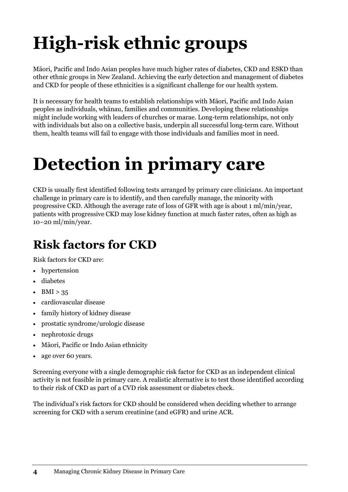# **High-risk ethnic groups**

Māori, Pacific and Indo Asian peoples have much higher rates of diabetes, CKD and ESKD than other ethnic groups in New Zealand. Achieving the early detection and management of diabetes and CKD for people of these ethnicities is a significant challenge for our health system.

It is necessary for health teams to establish relationships with Māori, Pacific and Indo Asian peoples as individuals, whānau, families and communities. Developing these relationships might include working with leaders of churches or marae. Long-term relationships, not only with individuals but also on a collective basis, underpin all successful long-term care. Without them, health teams will fail to engage with those individuals and families most in need.

## **Detection in primary care**

CKD is usually first identified following tests arranged by primary care clinicians. An important challenge in primary care is to identify, and then carefully manage, the minority with progressive CKD. Although the average rate of loss of GFR with age is about 1 ml/min/year, patients with progressive CKD may lose kidney function at much faster rates, often as high as 10–20 ml/min/year.

### **Risk factors for CKD**

Risk factors for CKD are:

- hypertension
- diabetes
- $-BMI > 35$
- cardiovascular disease
- family history of kidney disease
- prostatic syndrome/urologic disease
- nephrotoxic drugs
- Māori, Pacific or Indo Asian ethnicity
- age over 60 years.

Screening everyone with a single demographic risk factor for CKD as an independent clinical activity is not feasible in primary care. A realistic alternative is to test those identified according to their risk of CKD as part of a CVD risk assessment or diabetes check.

The individual's risk factors for CKD should be considered when deciding whether to arrange screening for CKD with a serum creatinine (and eGFR) and urine ACR.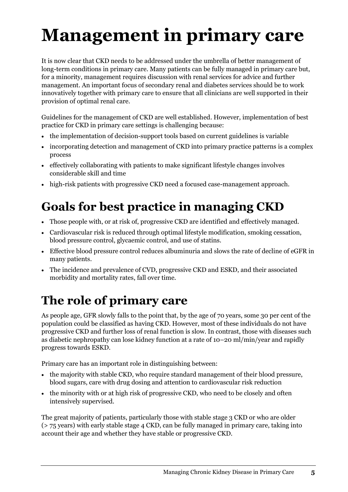# **Management in primary care**

It is now clear that CKD needs to be addressed under the umbrella of better management of long-term conditions in primary care. Many patients can be fully managed in primary care but, for a minority, management requires discussion with renal services for advice and further management. An important focus of secondary renal and diabetes services should be to work innovatively together with primary care to ensure that all clinicians are well supported in their provision of optimal renal care.

Guidelines for the management of CKD are well established. However, implementation of best practice for CKD in primary care settings is challenging because:

- the implementation of decision-support tools based on current guidelines is variable
- incorporating detection and management of CKD into primary practice patterns is a complex process
- effectively collaborating with patients to make significant lifestyle changes involves considerable skill and time
- high-risk patients with progressive CKD need a focused case-management approach.

### **Goals for best practice in managing CKD**

- Those people with, or at risk of, progressive CKD are identified and effectively managed.
- Cardiovascular risk is reduced through optimal lifestyle modification, smoking cessation, blood pressure control, glycaemic control, and use of statins.
- Effective blood pressure control reduces albuminuria and slows the rate of decline of eGFR in many patients.
- The incidence and prevalence of CVD, progressive CKD and ESKD, and their associated morbidity and mortality rates, fall over time.

### **The role of primary care**

As people age, GFR slowly falls to the point that, by the age of 70 years, some 30 per cent of the population could be classified as having CKD. However, most of these individuals do not have progressive CKD and further loss of renal function is slow. In contrast, those with diseases such as diabetic nephropathy can lose kidney function at a rate of 10–20 ml/min/year and rapidly progress towards ESKD.

Primary care has an important role in distinguishing between:

- the majority with stable CKD, who require standard management of their blood pressure, blood sugars, care with drug dosing and attention to cardiovascular risk reduction
- the minority with or at high risk of progressive CKD, who need to be closely and often intensively supervised.

The great majority of patients, particularly those with stable stage 3 CKD or who are older (> 75 years) with early stable stage 4 CKD, can be fully managed in primary care, taking into account their age and whether they have stable or progressive CKD.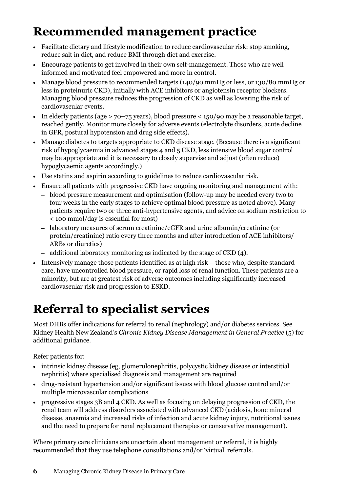### **Recommended management practice**

- Facilitate dietary and lifestyle modification to reduce cardiovascular risk: stop smoking, reduce salt in diet, and reduce BMI through diet and exercise.
- Encourage patients to get involved in their own self-management. Those who are well informed and motivated feel empowered and more in control.
- Manage blood pressure to recommended targets (140/90 mmHg or less, or 130/80 mmHg or less in proteinuric CKD), initially with ACE inhibitors or angiotensin receptor blockers. Managing blood pressure reduces the progression of CKD as well as lowering the risk of cardiovascular events.
- In elderly patients (age  $>$  70–75 years), blood pressure  $<$  150/90 may be a reasonable target, reached gently. Monitor more closely for adverse events (electrolyte disorders, acute decline in GFR, postural hypotension and drug side effects).
- Manage diabetes to targets appropriate to CKD disease stage. (Because there is a significant risk of hypoglycaemia in advanced stages 4 and 5 CKD, less intensive blood sugar control may be appropriate and it is necessary to closely supervise and adjust (often reduce) hypoglycaemic agents accordingly.)
- Use statins and aspirin according to guidelines to reduce cardiovascular risk.
- Ensure all patients with progressive CKD have ongoing monitoring and management with:
	- blood pressure measurement and optimisation (follow-up may be needed every two to four weeks in the early stages to achieve optimal blood pressure as noted above). Many patients require two or three anti-hypertensive agents, and advice on sodium restriction to < 100 mmol/day is essential for most)
	- laboratory measures of serum creatinine/eGFR and urine albumin/creatinine (or protein/creatinine) ratio every three months and after introduction of ACE inhibitors/ ARBs or diuretics)
	- additional laboratory monitoring as indicated by the stage of CKD (4).
- Intensively manage those patients identified as at high risk those who, despite standard care, have uncontrolled blood pressure, or rapid loss of renal function. These patients are a minority, but are at greatest risk of adverse outcomes including significantly increased cardiovascular risk and progression to ESKD.

### **Referral to specialist services**

Most DHBs offer indications for referral to renal (nephrology) and/or diabetes services. See Kidney Health New Zealand's *Chronic Kidney Disease Management in General Practice* (5) for additional guidance.

Refer patients for:

- intrinsic kidney disease (eg, glomerulonephritis, polycystic kidney disease or interstitial nephritis) where specialised diagnosis and management are required
- drug-resistant hypertension and/or significant issues with blood glucose control and/or multiple microvascular complications
- progressive stages 3B and 4 CKD. As well as focusing on delaying progression of CKD, the renal team will address disorders associated with advanced CKD (acidosis, bone mineral disease, anaemia and increased risks of infection and acute kidney injury, nutritional issues and the need to prepare for renal replacement therapies or conservative management).

Where primary care clinicians are uncertain about management or referral, it is highly recommended that they use telephone consultations and/or 'virtual' referrals.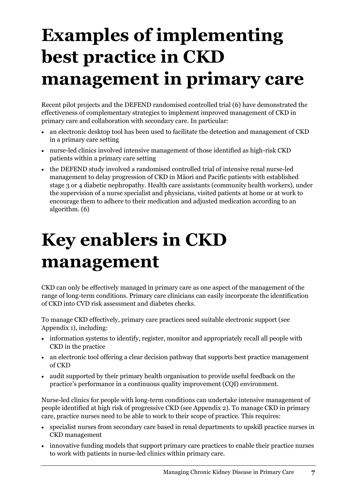# **Examples of implementing best practice in CKD management in primary care**

Recent pilot projects and the DEFEND randomised controlled trial (6) have demonstrated the effectiveness of complementary strategies to implement improved management of CKD in primary care and collaboration with secondary care. In particular:

- an electronic desktop tool has been used to facilitate the detection and management of CKD in a primary care setting
- nurse-led clinics involved intensive management of those identified as high-risk CKD patients within a primary care setting
- the DEFEND study involved a randomised controlled trial of intensive renal nurse-led management to delay progression of CKD in Māori and Pacific patients with established stage 3 or 4 diabetic nephropathy. Health care assistants (community health workers), under the supervision of a nurse specialist and physicians, visited patients at home or at work to encourage them to adhere to their medication and adjusted medication according to an algorithm. (6)

## **Key enablers in CKD management**

CKD can only be effectively managed in primary care as one aspect of the management of the range of long-term conditions. Primary care clinicians can easily incorporate the identification of CKD into CVD risk assessment and diabetes checks.

To manage CKD effectively, primary care practices need suitable electronic support (see Appendix 1), including:

- information systems to identify, register, monitor and appropriately recall all people with CKD in the practice
- an electronic tool offering a clear decision pathway that supports best practice management of CKD
- audit supported by their primary health organisation to provide useful feedback on the practice's performance in a continuous quality improvement (CQI) environment.

Nurse-led clinics for people with long-term conditions can undertake intensive management of people identified at high risk of progressive CKD (see Appendix 2). To manage CKD in primary care, practice nurses need to be able to work to their scope of practice. This requires:

- specialist nurses from secondary care based in renal departments to upskill practice nurses in CKD management
- innovative funding models that support primary care practices to enable their practice nurses to work with patients in nurse-led clinics within primary care.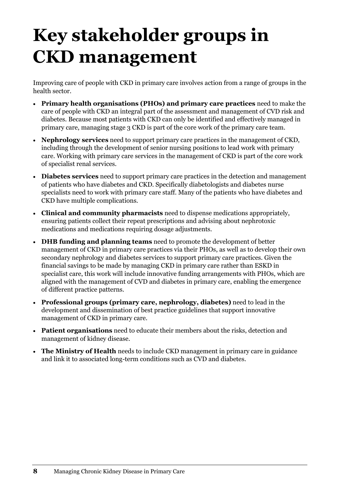## **Key stakeholder groups in CKD management**

Improving care of people with CKD in primary care involves action from a range of groups in the health sector.

- **Primary health organisations (PHOs) and primary care practices** need to make the care of people with CKD an integral part of the assessment and management of CVD risk and diabetes. Because most patients with CKD can only be identified and effectively managed in primary care, managing stage 3 CKD is part of the core work of the primary care team.
- **Nephrology services** need to support primary care practices in the management of CKD, including through the development of senior nursing positions to lead work with primary care. Working with primary care services in the management of CKD is part of the core work of specialist renal services.
- **Diabetes services** need to support primary care practices in the detection and management of patients who have diabetes and CKD. Specifically diabetologists and diabetes nurse specialists need to work with primary care staff. Many of the patients who have diabetes and CKD have multiple complications.
- **Clinical and community pharmacists** need to dispense medications appropriately, ensuring patients collect their repeat prescriptions and advising about nephrotoxic medications and medications requiring dosage adjustments.
- **DHB funding and planning teams** need to promote the development of better management of CKD in primary care practices via their PHOs, as well as to develop their own secondary nephrology and diabetes services to support primary care practices. Given the financial savings to be made by managing CKD in primary care rather than ESKD in specialist care, this work will include innovative funding arrangements with PHOs, which are aligned with the management of CVD and diabetes in primary care, enabling the emergence of different practice patterns.
- **Professional groups (primary care, nephrology, diabetes)** need to lead in the development and dissemination of best practice guidelines that support innovative management of CKD in primary care.
- **Patient organisations** need to educate their members about the risks, detection and management of kidney disease.
- **The Ministry of Health** needs to include CKD management in primary care in guidance and link it to associated long-term conditions such as CVD and diabetes.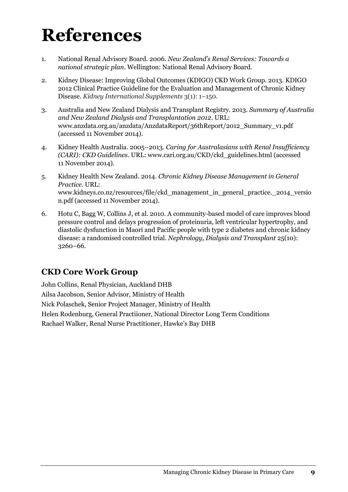### **References**

- 1. National Renal Advisory Board. 2006. *New Zealand's Renal Services: Towards a national strategic plan*. Wellington: National Renal Advisory Board.
- 2. Kidney Disease: Improving Global Outcomes (KDIGO) CKD Work Group. 2013. KDIGO 2012 Clinical Practice Guideline for the Evaluation and Management of Chronic Kidney Disease. *Kidney International Supplements* 3(1): 1–150.
- 3. Australia and New Zealand Dialysis and Transplant Registry. 2013. *Summary of Australia and New Zealand Dialysis and Transplantation 2012*. URL: [www.anzdata.org.au/anzdata/AnzdataReport/36thReport/2012\\_Summary\\_v1.pdf](http://www.anzdata.org.au/anzdata/AnzdataReport/36thReport/2012_Summary_v1.pdf) (accessed 11 November 2014).
- 4. Kidney Health Australia. 2005–2013. *Caring for Australasians with Renal Insufficiency (CARI): CKD Guidelines*. URL[: www.cari.org.au/CKD/ckd\\_guidelines.html](http://www.cari.org.au/CKD/ckd_guidelines.html) (accessed 11 November 2014).
- 5. Kidney Health New Zealand. 2014. *Chronic Kidney Disease Management in General Practice*. URL: [www.kidneys.co.nz/resources/file/ckd\\_management\\_in\\_general\\_practice.\\_2014\\_versio](http://www.kidneys.co.nz/resources/file/ckd_management_in_general_practice._2014_version.pdf) [n.pdf](http://www.kidneys.co.nz/resources/file/ckd_management_in_general_practice._2014_version.pdf) (accessed 11 November 2014).
- 6. Hotu C, Bagg W, Collins J, et al. 2010. A community-based model of care improves blood pressure control and delays progression of proteinuria, left ventricular hypertrophy, and diastolic dysfunction in Maori and Pacific people with type 2 diabetes and chronic kidney disease: a randomised controlled trial. *Nephrology, Dialysis and Transplant* 25(10): 3260–66.

### **CKD Core Work Group**

John Collins, Renal Physician, Auckland DHB Ailsa Jacobson, Senior Advisor, Ministry of Health Nick Polaschek, Senior Project Manager, Ministry of Health Helen Rodenburg, General Practiioner, National Director Long Term Conditions Rachael Walker, Renal Nurse Practitioner, Hawke's Bay DHB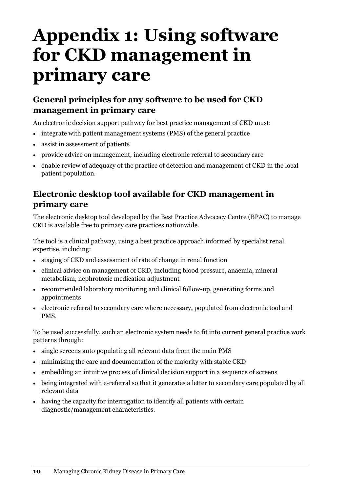### **Appendix 1: Using software for CKD management in primary care**

### **General principles for any software to be used for CKD management in primary care**

An electronic decision support pathway for best practice management of CKD must:

- integrate with patient management systems (PMS) of the general practice
- assist in assessment of patients
- provide advice on management, including electronic referral to secondary care
- enable review of adequacy of the practice of detection and management of CKD in the local patient population.

#### **Electronic desktop tool available for CKD management in primary care**

The electronic desktop tool developed by the Best Practice Advocacy Centre (BPAC) to manage CKD is available free to primary care practices nationwide.

The tool is a clinical pathway, using a best practice approach informed by specialist renal expertise, including:

- staging of CKD and assessment of rate of change in renal function
- clinical advice on management of CKD, including blood pressure, anaemia, mineral metabolism, nephrotoxic medication adjustment
- recommended laboratory monitoring and clinical follow-up, generating forms and appointments
- electronic referral to secondary care where necessary, populated from electronic tool and PMS.

To be used successfully, such an electronic system needs to fit into current general practice work patterns through:

- single screens auto populating all relevant data from the main PMS
- minimising the care and documentation of the majority with stable CKD
- embedding an intuitive process of clinical decision support in a sequence of screens
- being integrated with e-referral so that it generates a letter to secondary care populated by all relevant data
- having the capacity for interrogation to identify all patients with certain diagnostic/management characteristics.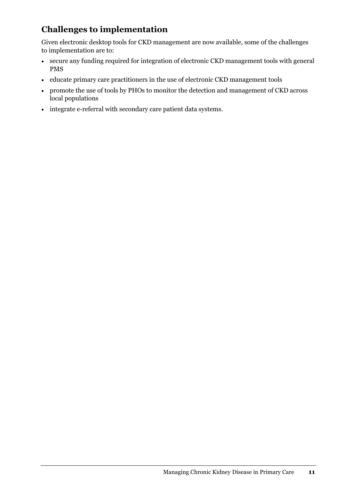### **Challenges to implementation**

Given electronic desktop tools for CKD management are now available, some of the challenges to implementation are to:

- secure any funding required for integration of electronic CKD management tools with general PMS
- educate primary care practitioners in the use of electronic CKD management tools
- promote the use of tools by PHOs to monitor the detection and management of CKD across local populations
- integrate e-referral with secondary care patient data systems.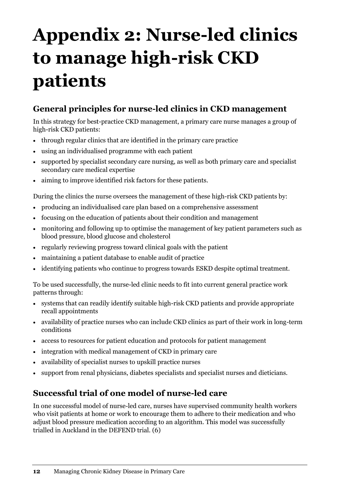# **Appendix 2: Nurse-led clinics to manage high-risk CKD patients**

### **General principles for nurse-led clinics in CKD management**

In this strategy for best-practice CKD management, a primary care nurse manages a group of high-risk CKD patients:

- through regular clinics that are identified in the primary care practice
- using an individualised programme with each patient
- supported by specialist secondary care nursing, as well as both primary care and specialist secondary care medical expertise
- aiming to improve identified risk factors for these patients.

During the clinics the nurse oversees the management of these high-risk CKD patients by:

- producing an individualised care plan based on a comprehensive assessment
- focusing on the education of patients about their condition and management
- monitoring and following up to optimise the management of key patient parameters such as blood pressure, blood glucose and cholesterol
- regularly reviewing progress toward clinical goals with the patient
- maintaining a patient database to enable audit of practice
- identifying patients who continue to progress towards ESKD despite optimal treatment.

To be used successfully, the nurse-led clinic needs to fit into current general practice work patterns through:

- systems that can readily identify suitable high-risk CKD patients and provide appropriate recall appointments
- availability of practice nurses who can include CKD clinics as part of their work in long-term conditions
- access to resources for patient education and protocols for patient management
- integration with medical management of CKD in primary care
- availability of specialist nurses to upskill practice nurses
- support from renal physicians, diabetes specialists and specialist nurses and dieticians.

#### **Successful trial of one model of nurse-led care**

In one successful model of nurse-led care, nurses have supervised community health workers who visit patients at home or work to encourage them to adhere to their medication and who adjust blood pressure medication according to an algorithm. This model was successfully trialled in Auckland in the DEFEND trial. (6)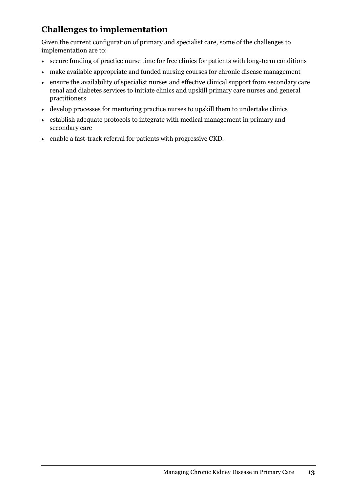### **Challenges to implementation**

Given the current configuration of primary and specialist care, some of the challenges to implementation are to:

- secure funding of practice nurse time for free clinics for patients with long-term conditions
- make available appropriate and funded nursing courses for chronic disease management
- ensure the availability of specialist nurses and effective clinical support from secondary care renal and diabetes services to initiate clinics and upskill primary care nurses and general practitioners
- develop processes for mentoring practice nurses to upskill them to undertake clinics
- establish adequate protocols to integrate with medical management in primary and secondary care
- enable a fast-track referral for patients with progressive CKD.